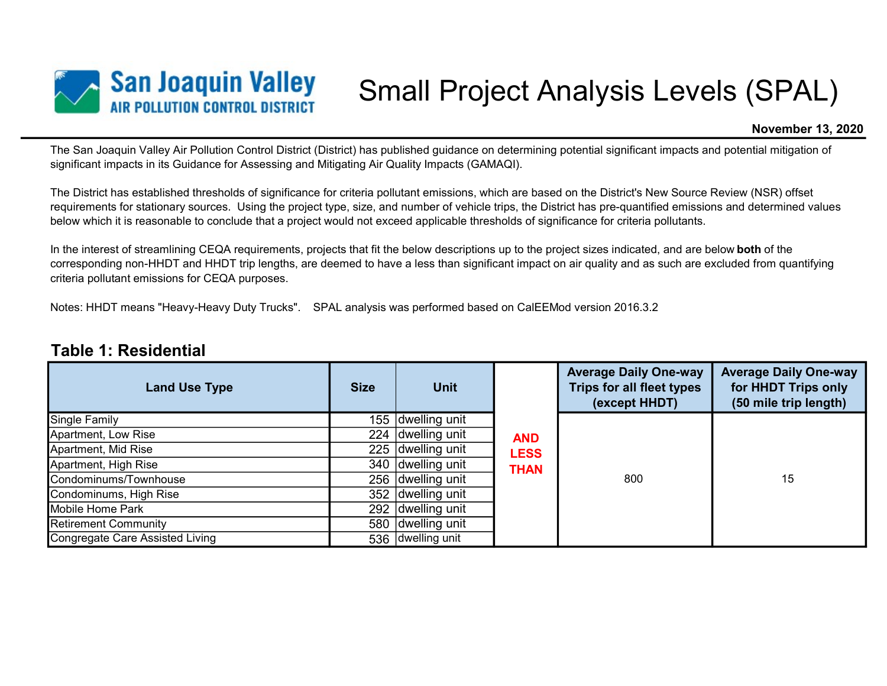

# Small Project Analysis Levels (SPAL)

#### November 13, 2020

The San Joaquin Valley Air Pollution Control District (District) has published guidance on determining potential significant impacts and potential mitigation of significant impacts in its Guidance for Assessing and Mitigating Air Quality Impacts (GAMAQI).

The District has established thresholds of significance for criteria pollutant emissions, which are based on the District's New Source Review (NSR) offset requirements for stationary sources. Using the project type, size, and number of vehicle trips, the District has pre-quantified emissions and determined values below which it is reasonable to conclude that a project would not exceed applicable thresholds of significance for criteria pollutants.

In the interest of streamlining CEQA requirements, projects that fit the below descriptions up to the project sizes indicated, and are below **both** of the corresponding non-HHDT and HHDT trip lengths, are deemed to have a less than significant impact on air quality and as such are excluded from quantifying criteria pollutant emissions for CEQA purposes.

Notes: HHDT means "Heavy-Heavy Duty Trucks". SPAL analysis was performed based on CalEEMod version 2016.3.2

#### Table 1: Residential

| <b>Land Use Type</b>            | <b>Size</b> | <b>Unit</b>       |             | <b>Average Daily One-way</b><br>Trips for all fleet types<br>(except HHDT) | <b>Average Daily One-way</b><br>for HHDT Trips only<br>(50 mile trip length) |
|---------------------------------|-------------|-------------------|-------------|----------------------------------------------------------------------------|------------------------------------------------------------------------------|
| Single Family                   | 155         | dwelling unit     |             |                                                                            |                                                                              |
| Apartment, Low Rise             | 224         | dwelling unit     | <b>AND</b>  |                                                                            | 15                                                                           |
| Apartment, Mid Rise             | 225         | dwelling unit     | <b>LESS</b> | 800                                                                        |                                                                              |
| Apartment, High Rise            | 340         | dwelling unit     | <b>THAN</b> |                                                                            |                                                                              |
| Condominums/Townhouse           | 256         | dwelling unit     |             |                                                                            |                                                                              |
| Condominums, High Rise          |             | 352 dwelling unit |             |                                                                            |                                                                              |
| Mobile Home Park                |             | 292 dwelling unit |             |                                                                            |                                                                              |
| <b>Retirement Community</b>     | 580         | dwelling unit     |             |                                                                            |                                                                              |
| Congregate Care Assisted Living |             | 536 dwelling unit |             |                                                                            |                                                                              |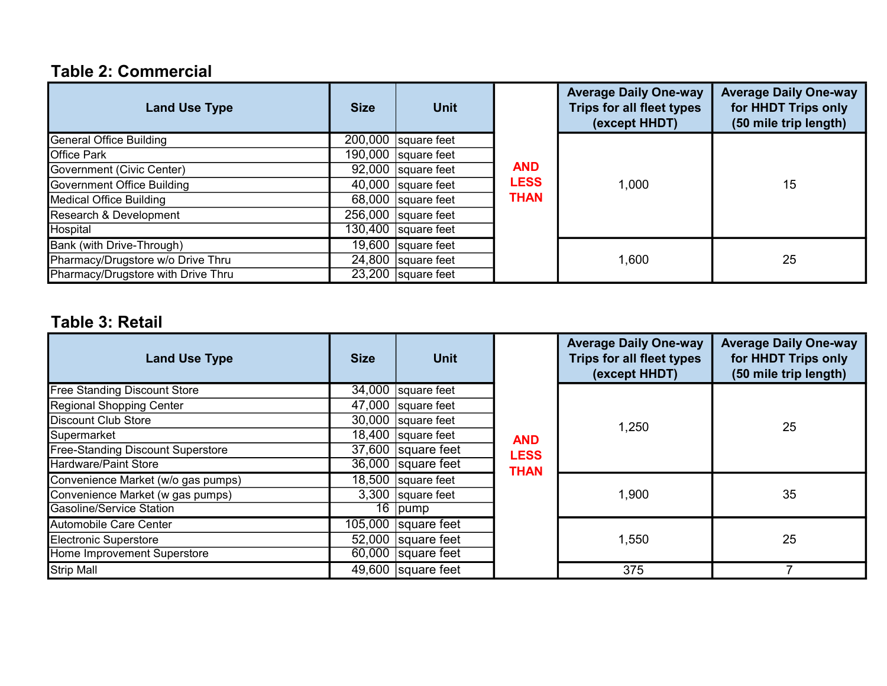# Table 2: Commercial

| <b>Land Use Type</b>               | <b>Size</b> | <b>Unit</b>                      |             | <b>Average Daily One-way</b><br>Trips for all fleet types<br>(except HHDT) | <b>Average Daily One-way</b><br>for HHDT Trips only<br>(50 mile trip length) |
|------------------------------------|-------------|----------------------------------|-------------|----------------------------------------------------------------------------|------------------------------------------------------------------------------|
| General Office Building            |             | $\overline{200,000}$ square feet |             |                                                                            |                                                                              |
| <b>Office Park</b>                 |             | 190,000 square feet              |             |                                                                            |                                                                              |
| Government (Civic Center)          |             | 92,000 square feet               | <b>AND</b>  |                                                                            |                                                                              |
| Government Office Building         |             | 40,000 square feet               | <b>LESS</b> | 1,000                                                                      | 15                                                                           |
| Medical Office Building            |             | $68,000$ square feet             | <b>THAN</b> |                                                                            |                                                                              |
| Research & Development             |             | 256,000 square feet              |             |                                                                            |                                                                              |
| Hospital                           |             | $\overline{130,400}$ square feet |             |                                                                            |                                                                              |
| Bank (with Drive-Through)          |             | 19,600 $ square$ feet            |             |                                                                            |                                                                              |
| Pharmacy/Drugstore w/o Drive Thru  |             | 24,800 square feet               |             | 1,600                                                                      | 25                                                                           |
| Pharmacy/Drugstore with Drive Thru |             | $\overline{23,200}$ square feet  |             |                                                                            |                                                                              |

# Table 3: Retail

| <b>Land Use Type</b>                     | <b>Size</b> | <b>Unit</b>                     |             | <b>Average Daily One-way</b><br><b>Trips for all fleet types</b><br>(except HHDT) | <b>Average Daily One-way</b><br>for HHDT Trips only<br>(50 mile trip length) |
|------------------------------------------|-------------|---------------------------------|-------------|-----------------------------------------------------------------------------------|------------------------------------------------------------------------------|
| <b>Free Standing Discount Store</b>      |             | $\overline{34,000}$ square feet |             | 1,250                                                                             | 25                                                                           |
| Regional Shopping Center                 |             | 47,000 square feet              |             |                                                                                   |                                                                              |
| Discount Club Store                      |             | 30,000 square feet              |             |                                                                                   |                                                                              |
| Supermarket                              |             | 18,400 square feet              | <b>AND</b>  |                                                                                   |                                                                              |
| <b>Free-Standing Discount Superstore</b> |             | 37,600 square feet              | <b>LESS</b> |                                                                                   |                                                                              |
| <b>Hardware/Paint Store</b>              |             | 36,000 square feet              | <b>THAN</b> |                                                                                   |                                                                              |
| Convenience Market (w/o gas pumps)       |             | 18,500 square feet              |             | 1,900                                                                             | 35                                                                           |
| Convenience Market (w gas pumps)         |             | 3,300 square feet               |             |                                                                                   |                                                                              |
| Gasoline/Service Station                 |             | $\overline{16}$ pump            |             |                                                                                   |                                                                              |
| Automobile Care Center                   |             | 105,000 square feet             |             | 1,550                                                                             | 25                                                                           |
| Electronic Superstore                    |             | 52,000 square feet              |             |                                                                                   |                                                                              |
| Home Improvement Superstore              |             | $\overline{60,000}$ square feet |             |                                                                                   |                                                                              |
| <b>Strip Mall</b>                        |             | 49,600 $ square$ feet           |             | 375                                                                               |                                                                              |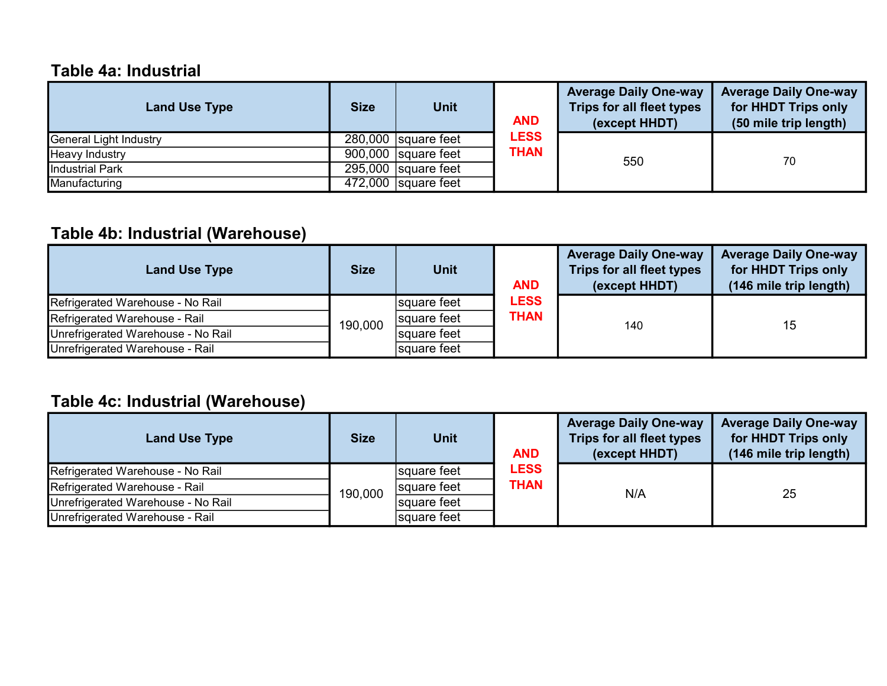### Table 4a: Industrial

| <b>Land Use Type</b>   | <b>Size</b> | <b>Unit</b>           | <b>AND</b>  | <b>Average Daily One-way</b><br>Trips for all fleet types<br>(except HHDT) | <b>Average Daily One-way</b><br>for HHDT Trips only<br>(50 mile trip length) |
|------------------------|-------------|-----------------------|-------------|----------------------------------------------------------------------------|------------------------------------------------------------------------------|
| General Light Industry |             | 280,000 square feet   | <b>LESS</b> |                                                                            |                                                                              |
| Heavy Industry         |             | $900,000$ square feet | THAN        | 550                                                                        | 70                                                                           |
| Industrial Park        |             | $295,000$ square feet |             |                                                                            |                                                                              |
| Manufacturing          |             | 472,000   square feet |             |                                                                            |                                                                              |

# Table 4b: Industrial (Warehouse)

| <b>Land Use Type</b>               | <b>Size</b> | <b>Unit</b> | <b>AND</b>                 | <b>Average Daily One-way</b><br>Trips for all fleet types<br>(except HHDT) | <b>Average Daily One-way</b><br>for HHDT Trips only<br>(146 mile trip length) |
|------------------------------------|-------------|-------------|----------------------------|----------------------------------------------------------------------------|-------------------------------------------------------------------------------|
| Refrigerated Warehouse - No Rail   | 190,000     | square feet | <b>LESS</b><br><b>THAN</b> | 140                                                                        | 15                                                                            |
| Refrigerated Warehouse - Rail      |             | square feet |                            |                                                                            |                                                                               |
| Unrefrigerated Warehouse - No Rail |             | square feet |                            |                                                                            |                                                                               |
| Unrefrigerated Warehouse - Rail    |             | square feet |                            |                                                                            |                                                                               |

# Table 4c: Industrial (Warehouse)

| <b>Land Use Type</b>               | <b>Size</b> | <b>Unit</b> | <b>AND</b>          | <b>Average Daily One-way</b><br>Trips for all fleet types<br>(except HHDT) | <b>Average Daily One-way</b><br>for HHDT Trips only<br>(146 mile trip length) |
|------------------------------------|-------------|-------------|---------------------|----------------------------------------------------------------------------|-------------------------------------------------------------------------------|
| Refrigerated Warehouse - No Rail   | 190,000     | square feet | <b>LESS</b><br>THAN | N/A                                                                        | 25                                                                            |
| Refrigerated Warehouse - Rail      |             | square feet |                     |                                                                            |                                                                               |
| Unrefrigerated Warehouse - No Rail |             | square feet |                     |                                                                            |                                                                               |
| Unrefrigerated Warehouse - Rail    |             | square feet |                     |                                                                            |                                                                               |